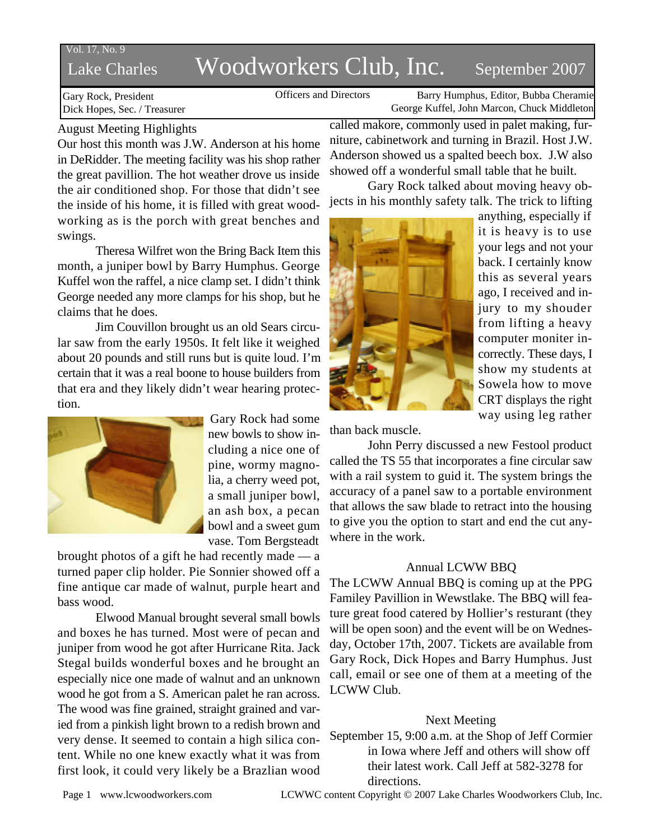# Vol. 17, No. 9

# Lake Charles Woodworkers Club, Inc. September 2007

Officers and Directors Barry Humphus, Editor, Bubba Cheramie George Kuffel, John Marcon, Chuck Middleton

Gary Rock, President Dick Hopes, Sec. / Treasurer

August Meeting Highlights

Our host this month was J.W. Anderson at his home in DeRidder. The meeting facility was his shop rather the great pavillion. The hot weather drove us inside the air conditioned shop. For those that didn't see the inside of his home, it is filled with great woodworking as is the porch with great benches and swings.

Theresa Wilfret won the Bring Back Item this month, a juniper bowl by Barry Humphus. George Kuffel won the raffel, a nice clamp set. I didn't think George needed any more clamps for his shop, but he claims that he does.

Jim Couvillon brought us an old Sears circular saw from the early 1950s. It felt like it weighed about 20 pounds and still runs but is quite loud. I'm certain that it was a real boone to house builders from that era and they likely didn't wear hearing protection.



Gary Rock had some new bowls to show including a nice one of pine, wormy magnolia, a cherry weed pot, a small juniper bowl, an ash box, a pecan bowl and a sweet gum vase. Tom Bergsteadt

brought photos of a gift he had recently made — a turned paper clip holder. Pie Sonnier showed off a fine antique car made of walnut, purple heart and bass wood.

Elwood Manual brought several small bowls and boxes he has turned. Most were of pecan and juniper from wood he got after Hurricane Rita. Jack Stegal builds wonderful boxes and he brought an especially nice one made of walnut and an unknown wood he got from a S. American palet he ran across. The wood was fine grained, straight grained and varied from a pinkish light brown to a redish brown and very dense. It seemed to contain a high silica content. While no one knew exactly what it was from first look, it could very likely be a Brazlian wood called makore, commonly used in palet making, furniture, cabinetwork and turning in Brazil. Host J.W. Anderson showed us a spalted beech box. J.W also showed off a wonderful small table that he built.

Gary Rock talked about moving heavy objects in his monthly safety talk. The trick to lifting



anything, especially if it is heavy is to use your legs and not your back. I certainly know this as several years ago, I received and injury to my shouder from lifting a heavy computer moniter incorrectly. These days, I show my students at Sowela how to move CRT displays the right way using leg rather

than back muscle.

John Perry discussed a new Festool product called the TS 55 that incorporates a fine circular saw with a rail system to guid it. The system brings the accuracy of a panel saw to a portable environment that allows the saw blade to retract into the housing to give you the option to start and end the cut anywhere in the work.

### Annual LCWW BBQ

The LCWW Annual BBQ is coming up at the PPG Familey Pavillion in Wewstlake. The BBQ will feature great food catered by Hollier's resturant (they will be open soon) and the event will be on Wednesday, October 17th, 2007. Tickets are available from Gary Rock, Dick Hopes and Barry Humphus. Just call, email or see one of them at a meeting of the LCWW Club.

## Next Meeting

September 15, 9:00 a.m. at the Shop of Jeff Cormier in Iowa where Jeff and others will show off their latest work. Call Jeff at 582-3278 for directions.

Page 1 www.lcwoodworkers.com LCWWC content Copyright © 2007 Lake Charles Woodworkers Club, Inc.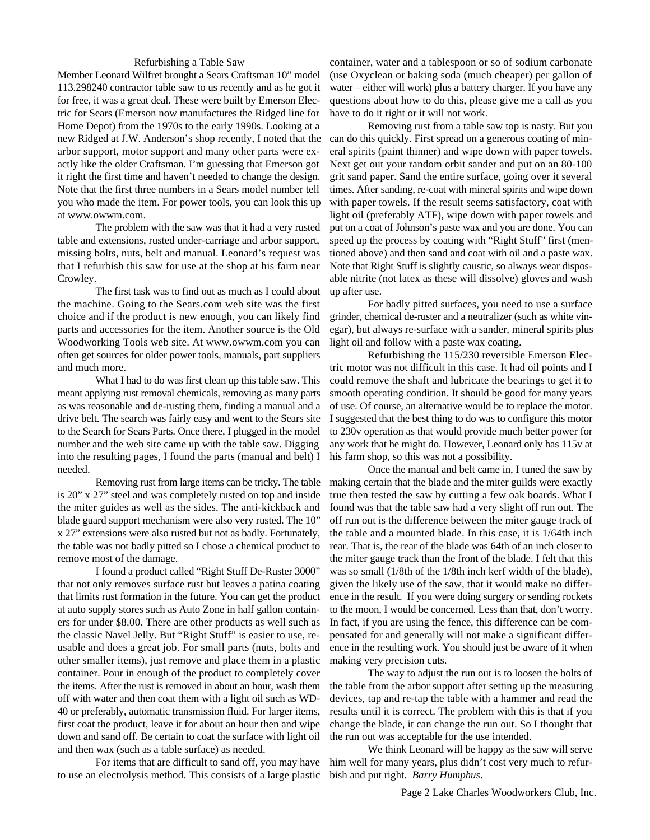#### Refurbishing a Table Saw

Member Leonard Wilfret brought a Sears Craftsman 10" model 113.298240 contractor table saw to us recently and as he got it for free, it was a great deal. These were built by Emerson Electric for Sears (Emerson now manufactures the Ridged line for Home Depot) from the 1970s to the early 1990s. Looking at a new Ridged at J.W. Anderson's shop recently, I noted that the arbor support, motor support and many other parts were exactly like the older Craftsman. I'm guessing that Emerson got it right the first time and haven't needed to change the design. Note that the first three numbers in a Sears model number tell you who made the item. For power tools, you can look this up at www.owwm.com.

The problem with the saw was that it had a very rusted table and extensions, rusted under-carriage and arbor support, missing bolts, nuts, belt and manual. Leonard's request was that I refurbish this saw for use at the shop at his farm near Crowley.

The first task was to find out as much as I could about the machine. Going to the Sears.com web site was the first choice and if the product is new enough, you can likely find parts and accessories for the item. Another source is the Old Woodworking Tools web site. At www.owwm.com you can often get sources for older power tools, manuals, part suppliers and much more.

What I had to do was first clean up this table saw. This meant applying rust removal chemicals, removing as many parts as was reasonable and de-rusting them, finding a manual and a drive belt. The search was fairly easy and went to the Sears site to the Search for Sears Parts. Once there, I plugged in the model number and the web site came up with the table saw. Digging into the resulting pages, I found the parts (manual and belt) I needed.

Removing rust from large items can be tricky. The table is 20" x 27" steel and was completely rusted on top and inside the miter guides as well as the sides. The anti-kickback and blade guard support mechanism were also very rusted. The 10" x 27" extensions were also rusted but not as badly. Fortunately, the table was not badly pitted so I chose a chemical product to remove most of the damage.

I found a product called "Right Stuff De-Ruster 3000" that not only removes surface rust but leaves a patina coating that limits rust formation in the future. You can get the product at auto supply stores such as Auto Zone in half gallon containers for under \$8.00. There are other products as well such as the classic Navel Jelly. But "Right Stuff" is easier to use, reusable and does a great job. For small parts (nuts, bolts and other smaller items), just remove and place them in a plastic container. Pour in enough of the product to completely cover the items. After the rust is removed in about an hour, wash them off with water and then coat them with a light oil such as WD-40 or preferably, automatic transmission fluid. For larger items, first coat the product, leave it for about an hour then and wipe down and sand off. Be certain to coat the surface with light oil and then wax (such as a table surface) as needed.

For items that are difficult to sand off, you may have to use an electrolysis method. This consists of a large plastic container, water and a tablespoon or so of sodium carbonate (use Oxyclean or baking soda (much cheaper) per gallon of water – either will work) plus a battery charger. If you have any questions about how to do this, please give me a call as you have to do it right or it will not work.

Removing rust from a table saw top is nasty. But you can do this quickly. First spread on a generous coating of mineral spirits (paint thinner) and wipe down with paper towels. Next get out your random orbit sander and put on an 80-100 grit sand paper. Sand the entire surface, going over it several times. After sanding, re-coat with mineral spirits and wipe down with paper towels. If the result seems satisfactory, coat with light oil (preferably ATF), wipe down with paper towels and put on a coat of Johnson's paste wax and you are done. You can speed up the process by coating with "Right Stuff" first (mentioned above) and then sand and coat with oil and a paste wax. Note that Right Stuff is slightly caustic, so always wear disposable nitrite (not latex as these will dissolve) gloves and wash up after use.

For badly pitted surfaces, you need to use a surface grinder, chemical de-ruster and a neutralizer (such as white vinegar), but always re-surface with a sander, mineral spirits plus light oil and follow with a paste wax coating.

Refurbishing the 115/230 reversible Emerson Electric motor was not difficult in this case. It had oil points and I could remove the shaft and lubricate the bearings to get it to smooth operating condition. It should be good for many years of use. Of course, an alternative would be to replace the motor. I suggested that the best thing to do was to configure this motor to 230v operation as that would provide much better power for any work that he might do. However, Leonard only has 115v at his farm shop, so this was not a possibility.

Once the manual and belt came in, I tuned the saw by making certain that the blade and the miter guilds were exactly true then tested the saw by cutting a few oak boards. What I found was that the table saw had a very slight off run out. The off run out is the difference between the miter gauge track of the table and a mounted blade. In this case, it is 1/64th inch rear. That is, the rear of the blade was 64th of an inch closer to the miter gauge track than the front of the blade. I felt that this was so small (1/8th of the 1/8th inch kerf width of the blade), given the likely use of the saw, that it would make no difference in the result. If you were doing surgery or sending rockets to the moon, I would be concerned. Less than that, don't worry. In fact, if you are using the fence, this difference can be compensated for and generally will not make a significant difference in the resulting work. You should just be aware of it when making very precision cuts.

The way to adjust the run out is to loosen the bolts of the table from the arbor support after setting up the measuring devices, tap and re-tap the table with a hammer and read the results until it is correct. The problem with this is that if you change the blade, it can change the run out. So I thought that the run out was acceptable for the use intended.

We think Leonard will be happy as the saw will serve him well for many years, plus didn't cost very much to refurbish and put right. *Barry Humphus*.